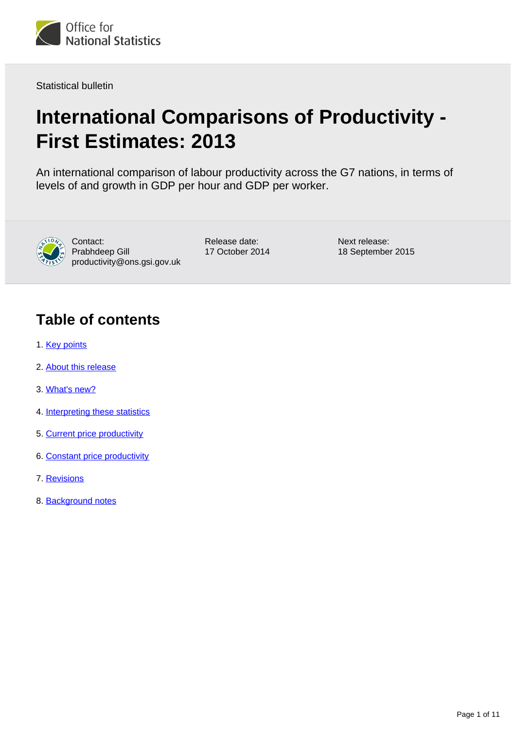

Statistical bulletin

# **International Comparisons of Productivity - First Estimates: 2013**

An international comparison of labour productivity across the G7 nations, in terms of levels of and growth in GDP per hour and GDP per worker.



Contact: Prabhdeep Gill productivity@ons.gsi.gov.uk Release date: 17 October 2014 Next release: 18 September 2015

# **Table of contents**

- 1. [Key points](#page-1-0)
- 2. [About this release](#page-1-1)
- 3. [What's new?](#page-1-2)
- 4. [Interpreting these statistics](#page-2-0)
- 5. [Current price productivity](#page-2-1)
- 6. [Constant price productivity](#page-5-0)
- 7. [Revisions](#page-7-0)
- 8. [Background notes](#page-8-0)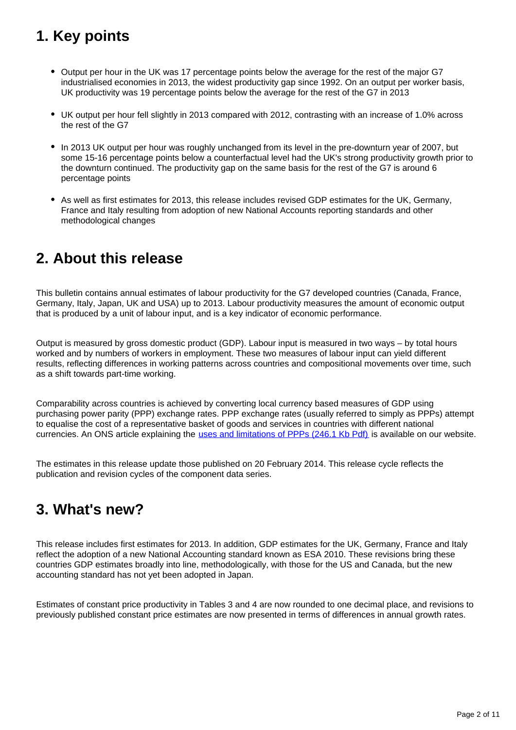# <span id="page-1-0"></span>**1. Key points**

- Output per hour in the UK was 17 percentage points below the average for the rest of the major G7 industrialised economies in 2013, the widest productivity gap since 1992. On an output per worker basis, UK productivity was 19 percentage points below the average for the rest of the G7 in 2013
- UK output per hour fell slightly in 2013 compared with 2012, contrasting with an increase of 1.0% across the rest of the G7
- In 2013 UK output per hour was roughly unchanged from its level in the pre-downturn year of 2007, but some 15-16 percentage points below a counterfactual level had the UK's strong productivity growth prior to the downturn continued. The productivity gap on the same basis for the rest of the G7 is around 6 percentage points
- As well as first estimates for 2013, this release includes revised GDP estimates for the UK, Germany, France and Italy resulting from adoption of new National Accounts reporting standards and other methodological changes

## <span id="page-1-1"></span>**2. About this release**

This bulletin contains annual estimates of labour productivity for the G7 developed countries (Canada, France, Germany, Italy, Japan, UK and USA) up to 2013. Labour productivity measures the amount of economic output that is produced by a unit of labour input, and is a key indicator of economic performance.

Output is measured by gross domestic product (GDP). Labour input is measured in two ways – by total hours worked and by numbers of workers in employment. These two measures of labour input can yield different results, reflecting differences in working patterns across countries and compositional movements over time, such as a shift towards part-time working.

Comparability across countries is achieved by converting local currency based measures of GDP using purchasing power parity (PPP) exchange rates. PPP exchange rates (usually referred to simply as PPPs) attempt to equalise the cost of a representative basket of goods and services in countries with different national currencies. An ONS article explaining the [uses and limitations of PPPs \(246.1 Kb Pdf\)](http://www.ons.gov.uk/ons/rel/elmr/economic-and-labour-market-review/no--8--august-2007/international-comparisons-of-productivity--recommended-uses-of-the-current-and-constant-ppp-approach.pdf) is available on our website.

The estimates in this release update those published on 20 February 2014. This release cycle reflects the publication and revision cycles of the component data series.

## <span id="page-1-2"></span>**3. What's new?**

This release includes first estimates for 2013. In addition, GDP estimates for the UK, Germany, France and Italy reflect the adoption of a new National Accounting standard known as ESA 2010. These revisions bring these countries GDP estimates broadly into line, methodologically, with those for the US and Canada, but the new accounting standard has not yet been adopted in Japan.

Estimates of constant price productivity in Tables 3 and 4 are now rounded to one decimal place, and revisions to previously published constant price estimates are now presented in terms of differences in annual growth rates.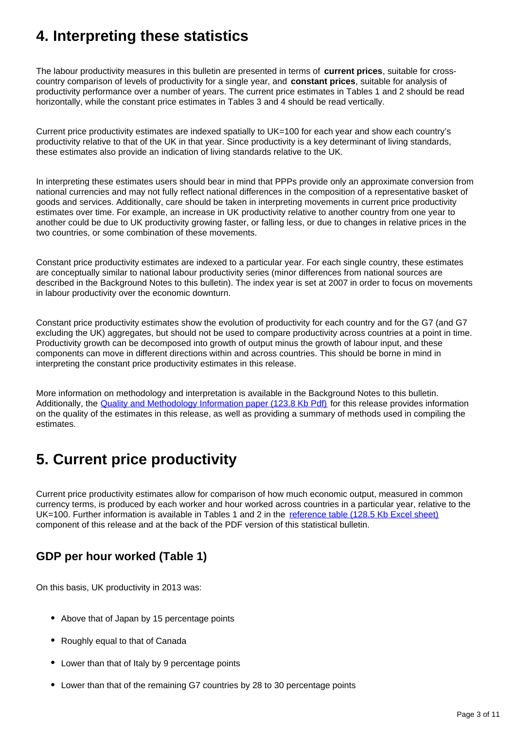## <span id="page-2-0"></span>**4. Interpreting these statistics**

The labour productivity measures in this bulletin are presented in terms of **current prices**, suitable for crosscountry comparison of levels of productivity for a single year, and **constant prices**, suitable for analysis of productivity performance over a number of years. The current price estimates in Tables 1 and 2 should be read horizontally, while the constant price estimates in Tables 3 and 4 should be read vertically.

Current price productivity estimates are indexed spatially to UK=100 for each year and show each country's productivity relative to that of the UK in that year. Since productivity is a key determinant of living standards, these estimates also provide an indication of living standards relative to the UK.

In interpreting these estimates users should bear in mind that PPPs provide only an approximate conversion from national currencies and may not fully reflect national differences in the composition of a representative basket of goods and services. Additionally, care should be taken in interpreting movements in current price productivity estimates over time. For example, an increase in UK productivity relative to another country from one year to another could be due to UK productivity growing faster, or falling less, or due to changes in relative prices in the two countries, or some combination of these movements.

Constant price productivity estimates are indexed to a particular year. For each single country, these estimates are conceptually similar to national labour productivity series (minor differences from national sources are described in the Background Notes to this bulletin). The index year is set at 2007 in order to focus on movements in labour productivity over the economic downturn.

Constant price productivity estimates show the evolution of productivity for each country and for the G7 (and G7 excluding the UK) aggregates, but should not be used to compare productivity across countries at a point in time. Productivity growth can be decomposed into growth of output minus the growth of labour input, and these components can move in different directions within and across countries. This should be borne in mind in interpreting the constant price productivity estimates in this release.

More information on methodology and interpretation is available in the Background Notes to this bulletin. Additionally, the [Quality and Methodology Information paper \(123.8 Kb Pdf\)](http://www.ons.gov.uk/ons/guide-method/method-quality/quality/quality-information/economy/summary-quality-report-for-international-comparisons-of-productivity.pdf) for this release provides information on the quality of the estimates in this release, as well as providing a summary of methods used in compiling the estimates.

# <span id="page-2-1"></span>**5. Current price productivity**

Current price productivity estimates allow for comparison of how much economic output, measured in common currency terms, is produced by each worker and hour worked across countries in a particular year, relative to the UK=100. Further information is available in Tables 1 and 2 in the [reference table \(128.5 Kb Excel sheet\)](http://www.ons.gov.uk/ons/rel/icp/international-comparisons-of-productivity/2013---first-estimates/rftxl-icp1014.xls) component of this release and at the back of the PDF version of this statistical bulletin.

### **GDP per hour worked (Table 1)**

On this basis, UK productivity in 2013 was:

- Above that of Japan by 15 percentage points
- Roughly equal to that of Canada
- Lower than that of Italy by 9 percentage points
- Lower than that of the remaining G7 countries by 28 to 30 percentage points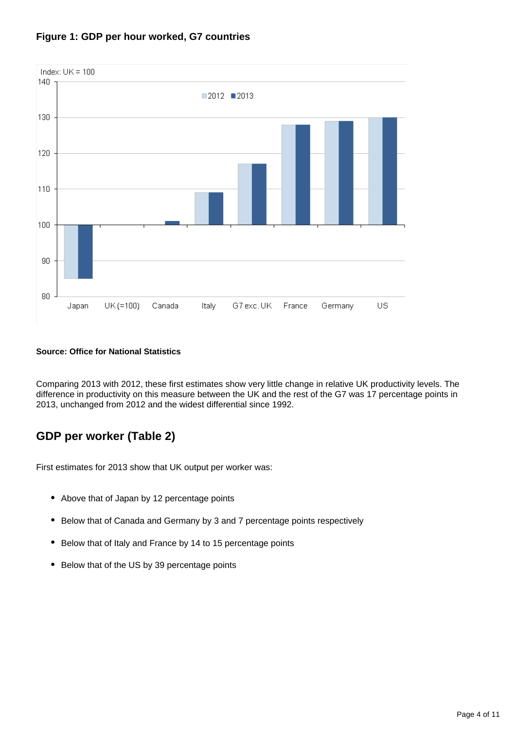

### **Figure 1: GDP per hour worked, G7 countries**

### **Source: Office for National Statistics**

Comparing 2013 with 2012, these first estimates show very little change in relative UK productivity levels. The difference in productivity on this measure between the UK and the rest of the G7 was 17 percentage points in 2013, unchanged from 2012 and the widest differential since 1992.

### **GDP per worker (Table 2)**

First estimates for 2013 show that UK output per worker was:

- Above that of Japan by 12 percentage points
- Below that of Canada and Germany by 3 and 7 percentage points respectively
- Below that of Italy and France by 14 to 15 percentage points
- Below that of the US by 39 percentage points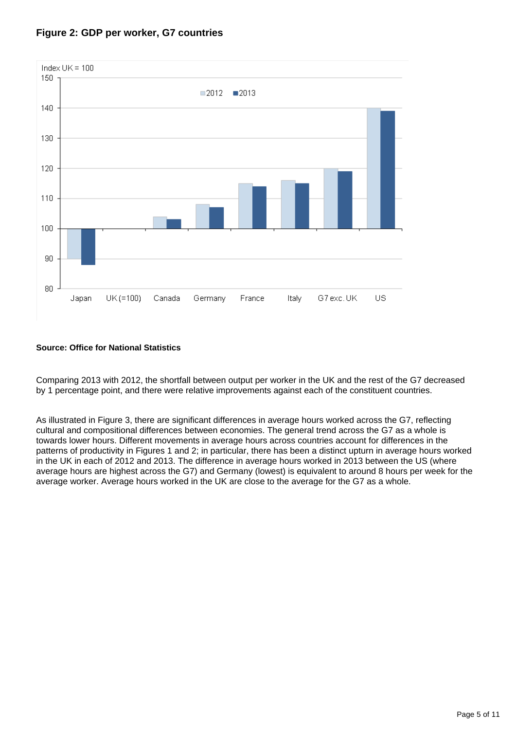

### **Figure 2: GDP per worker, G7 countries**

### **Source: Office for National Statistics**

Comparing 2013 with 2012, the shortfall between output per worker in the UK and the rest of the G7 decreased by 1 percentage point, and there were relative improvements against each of the constituent countries.

As illustrated in Figure 3, there are significant differences in average hours worked across the G7, reflecting cultural and compositional differences between economies. The general trend across the G7 as a whole is towards lower hours. Different movements in average hours across countries account for differences in the patterns of productivity in Figures 1 and 2; in particular, there has been a distinct upturn in average hours worked in the UK in each of 2012 and 2013. The difference in average hours worked in 2013 between the US (where average hours are highest across the G7) and Germany (lowest) is equivalent to around 8 hours per week for the average worker. Average hours worked in the UK are close to the average for the G7 as a whole.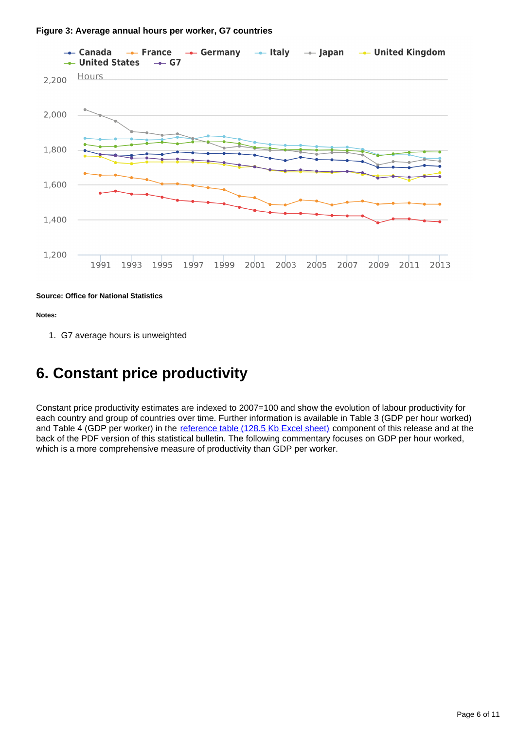

#### **Source: Office for National Statistics**

**Notes:**

1. G7 average hours is unweighted

### <span id="page-5-0"></span>**6. Constant price productivity**

Constant price productivity estimates are indexed to 2007=100 and show the evolution of labour productivity for each country and group of countries over time. Further information is available in Table 3 (GDP per hour worked) and Table 4 (GDP per worker) in the [reference table \(128.5 Kb Excel sheet\)](http://www.ons.gov.uk/ons/rel/icp/international-comparisons-of-productivity/2013---first-estimates/rftxl-icp1014.xls) component of this release and at the back of the PDF version of this statistical bulletin. The following commentary focuses on GDP per hour worked, which is a more comprehensive measure of productivity than GDP per worker.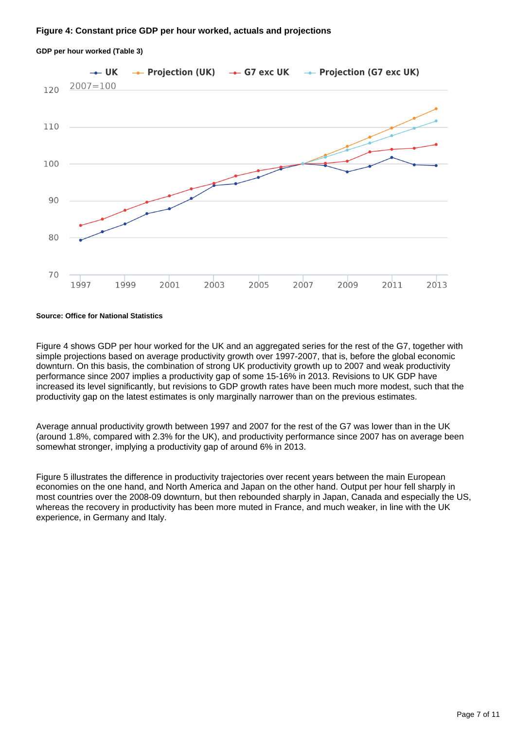#### **Figure 4: Constant price GDP per hour worked, actuals and projections**



#### **GDP per hour worked (Table 3)**

#### **Source: Office for National Statistics**

Figure 4 shows GDP per hour worked for the UK and an aggregated series for the rest of the G7, together with simple projections based on average productivity growth over 1997-2007, that is, before the global economic downturn. On this basis, the combination of strong UK productivity growth up to 2007 and weak productivity performance since 2007 implies a productivity gap of some 15-16% in 2013. Revisions to UK GDP have increased its level significantly, but revisions to GDP growth rates have been much more modest, such that the productivity gap on the latest estimates is only marginally narrower than on the previous estimates.

Average annual productivity growth between 1997 and 2007 for the rest of the G7 was lower than in the UK (around 1.8%, compared with 2.3% for the UK), and productivity performance since 2007 has on average been somewhat stronger, implying a productivity gap of around 6% in 2013.

Figure 5 illustrates the difference in productivity trajectories over recent years between the main European economies on the one hand, and North America and Japan on the other hand. Output per hour fell sharply in most countries over the 2008-09 downturn, but then rebounded sharply in Japan, Canada and especially the US, whereas the recovery in productivity has been more muted in France, and much weaker, in line with the UK experience, in Germany and Italy.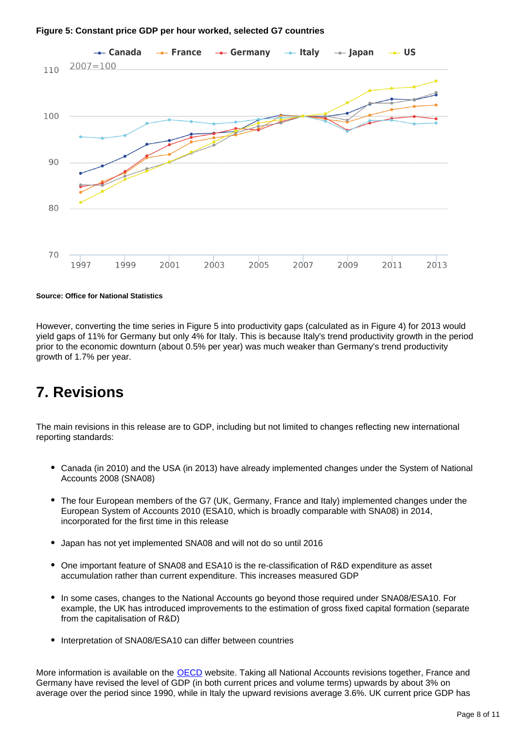



**Source: Office for National Statistics**

However, converting the time series in Figure 5 into productivity gaps (calculated as in Figure 4) for 2013 would yield gaps of 11% for Germany but only 4% for Italy. This is because Italy's trend productivity growth in the period prior to the economic downturn (about 0.5% per year) was much weaker than Germany's trend productivity growth of 1.7% per year.

## <span id="page-7-0"></span>**7. Revisions**

The main revisions in this release are to GDP, including but not limited to changes reflecting new international reporting standards:

- Canada (in 2010) and the USA (in 2013) have already implemented changes under the System of National Accounts 2008 (SNA08)
- The four European members of the G7 (UK, Germany, France and Italy) implemented changes under the European System of Accounts 2010 (ESA10, which is broadly comparable with SNA08) in 2014, incorporated for the first time in this release
- Japan has not yet implemented SNA08 and will not do so until 2016
- One important feature of SNA08 and ESA10 is the re-classification of R&D expenditure as asset accumulation rather than current expenditure. This increases measured GDP
- In some cases, changes to the National Accounts go beyond those required under SNA08/ESA10. For example, the UK has introduced improvements to the estimation of gross fixed capital formation (separate from the capitalisation of R&D)
- Interpretation of SNA08/ESA10 can differ between countries

More information is available on the **OECD** website. Taking all National Accounts revisions together, France and Germany have revised the level of GDP (in both current prices and volume terms) upwards by about 3% on average over the period since 1990, while in Italy the upward revisions average 3.6%. UK current price GDP has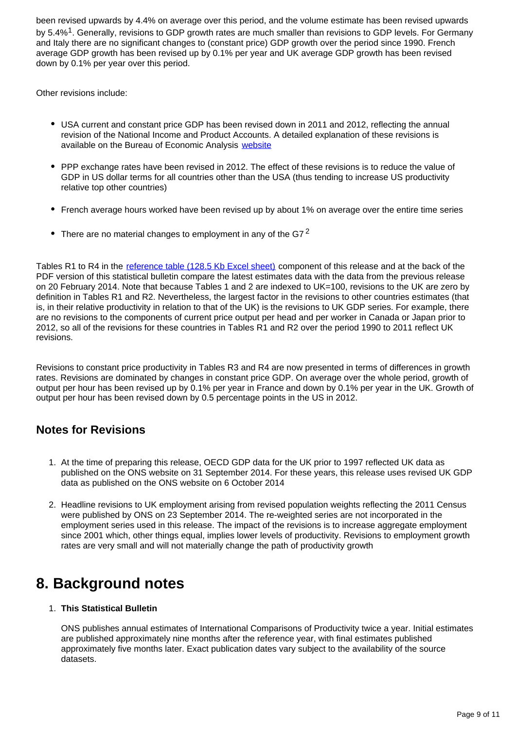been revised upwards by 4.4% on average over this period, and the volume estimate has been revised upwards by 5.4%<sup>1</sup>. Generally, revisions to GDP growth rates are much smaller than revisions to GDP levels. For Germany and Italy there are no significant changes to (constant price) GDP growth over the period since 1990. French average GDP growth has been revised up by 0.1% per year and UK average GDP growth has been revised down by 0.1% per year over this period.

Other revisions include:

- USA current and constant price GDP has been revised down in 2011 and 2012, reflecting the annual revision of the National Income and Product Accounts. A detailed explanation of these revisions is available on the Bureau of Economic Analysis [website](http://bea.gov/national/an1.htm)
- PPP exchange rates have been revised in 2012. The effect of these revisions is to reduce the value of GDP in US dollar terms for all countries other than the USA (thus tending to increase US productivity relative top other countries)
- French average hours worked have been revised up by about 1% on average over the entire time series
- There are no material changes to employment in any of the G7<sup>2</sup>

Tables R1 to R4 in the [reference table \(128.5 Kb Excel sheet\)](http://www.ons.gov.uk/ons/rel/icp/international-comparisons-of-productivity/2013---first-estimates/rftxl-icp1014.xls) component of this release and at the back of the PDF version of this statistical bulletin compare the latest estimates data with the data from the previous release on 20 February 2014. Note that because Tables 1 and 2 are indexed to UK=100, revisions to the UK are zero by definition in Tables R1 and R2. Nevertheless, the largest factor in the revisions to other countries estimates (that is, in their relative productivity in relation to that of the UK) is the revisions to UK GDP series. For example, there are no revisions to the components of current price output per head and per worker in Canada or Japan prior to 2012, so all of the revisions for these countries in Tables R1 and R2 over the period 1990 to 2011 reflect UK revisions.

Revisions to constant price productivity in Tables R3 and R4 are now presented in terms of differences in growth rates. Revisions are dominated by changes in constant price GDP. On average over the whole period, growth of output per hour has been revised up by 0.1% per year in France and down by 0.1% per year in the UK. Growth of output per hour has been revised down by 0.5 percentage points in the US in 2012.

### **Notes for Revisions**

- 1. At the time of preparing this release, OECD GDP data for the UK prior to 1997 reflected UK data as published on the ONS website on 31 September 2014. For these years, this release uses revised UK GDP data as published on the ONS website on 6 October 2014
- 2. Headline revisions to UK employment arising from revised population weights reflecting the 2011 Census were published by ONS on 23 September 2014. The re-weighted series are not incorporated in the employment series used in this release. The impact of the revisions is to increase aggregate employment since 2001 which, other things equal, implies lower levels of productivity. Revisions to employment growth rates are very small and will not materially change the path of productivity growth

## <span id="page-8-0"></span>**8. Background notes**

### 1. **This Statistical Bulletin**

ONS publishes annual estimates of International Comparisons of Productivity twice a year. Initial estimates are published approximately nine months after the reference year, with final estimates published approximately five months later. Exact publication dates vary subject to the availability of the source datasets.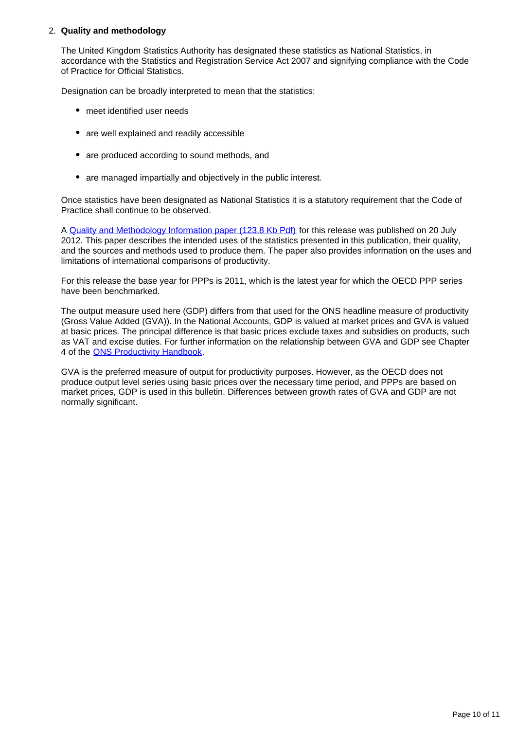### 2. **Quality and methodology**

The United Kingdom Statistics Authority has designated these statistics as National Statistics, in accordance with the Statistics and Registration Service Act 2007 and signifying compliance with the Code of Practice for Official Statistics.

Designation can be broadly interpreted to mean that the statistics:

- meet identified user needs
- are well explained and readily accessible
- are produced according to sound methods, and
- are managed impartially and objectively in the public interest.

Once statistics have been designated as National Statistics it is a statutory requirement that the Code of Practice shall continue to be observed.

A [Quality and Methodology Information paper \(123.8 Kb Pdf\)](http://www.ons.gov.uk/ons/guide-method/method-quality/quality/quality-information/economy/summary-quality-report-for-international-comparisons-of-productivity.pdf) for this release was published on 20 July 2012. This paper describes the intended uses of the statistics presented in this publication, their quality, and the sources and methods used to produce them. The paper also provides information on the uses and limitations of international comparisons of productivity.

For this release the base year for PPPs is 2011, which is the latest year for which the OECD PPP series have been benchmarked.

The output measure used here (GDP) differs from that used for the ONS headline measure of productivity (Gross Value Added (GVA)). In the National Accounts, GDP is valued at market prices and GVA is valued at basic prices. The principal difference is that basic prices exclude taxes and subsidies on products, such as VAT and excise duties. For further information on the relationship between GVA and GDP see Chapter 4 of the [ONS Productivity Handbook](http://www.ons.gov.uk/ons/guide-method/method-quality/specific/economy/productivity-measures/productivity-handbook/index.html).

GVA is the preferred measure of output for productivity purposes. However, as the OECD does not produce output level series using basic prices over the necessary time period, and PPPs are based on market prices, GDP is used in this bulletin. Differences between growth rates of GVA and GDP are not normally significant.